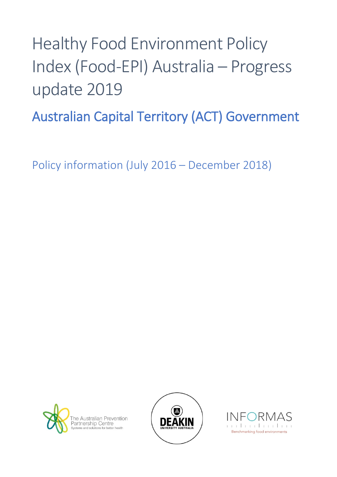# Healthy Food Environment Policy Index (Food-EPI) Australia – Progress update 2019

Australian Capital Territory (ACT) Government

Policy information (July 2016 – December 2018)





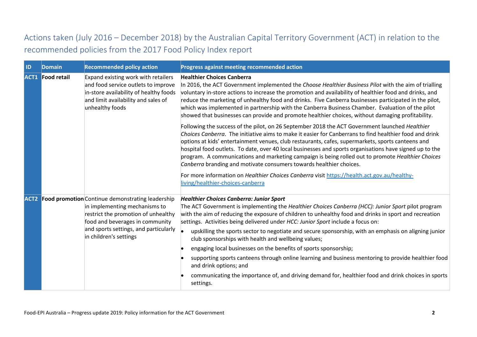## Actions taken (July 2016 – December 2018) by the Australian Capital Territory Government (ACT) in relation to the recommended policies from the 2017 Food Policy Index report

| <b>ID</b> | <b>Domain</b>           | <b>Recommended policy action</b>                                                                                                                                                                                                           | Progress against meeting recommended action                                                                                                                                                                                                                                                                                                                                                                                                                                                                                                                                                           |
|-----------|-------------------------|--------------------------------------------------------------------------------------------------------------------------------------------------------------------------------------------------------------------------------------------|-------------------------------------------------------------------------------------------------------------------------------------------------------------------------------------------------------------------------------------------------------------------------------------------------------------------------------------------------------------------------------------------------------------------------------------------------------------------------------------------------------------------------------------------------------------------------------------------------------|
|           | <b>ACT1</b> Food retail | Expand existing work with retailers<br>and food service outlets to improve<br>in-store availability of healthy foods<br>and limit availability and sales of<br>unhealthy foods                                                             | <b>Healthier Choices Canberra</b><br>In 2016, the ACT Government implemented the Choose Healthier Business Pilot with the aim of trialling<br>voluntary in-store actions to increase the promotion and availability of healthier food and drinks, and<br>reduce the marketing of unhealthy food and drinks. Five Canberra businesses participated in the pilot,<br>which was implemented in partnership with the Canberra Business Chamber. Evaluation of the pilot<br>showed that businesses can provide and promote healthier choices, without damaging profitability.                              |
|           |                         |                                                                                                                                                                                                                                            | Following the success of the pilot, on 26 September 2018 the ACT Government launched Healthier<br>Choices Canberra. The initiative aims to make it easier for Canberrans to find healthier food and drink<br>options at kids' entertainment venues, club restaurants, cafes, supermarkets, sports canteens and<br>hospital food outlets. To date, over 40 local businesses and sports organisations have signed up to the<br>program. A communications and marketing campaign is being rolled out to promote Healthier Choices<br>Canberra branding and motivate consumers towards healthier choices. |
|           |                         |                                                                                                                                                                                                                                            | For more information on <i>Healthier Choices Canberra</i> visit https://health.act.gov.au/healthy-<br>living/healthier-choices-canberra                                                                                                                                                                                                                                                                                                                                                                                                                                                               |
|           |                         | <b>ACT2</b> Food promotion Continue demonstrating leadership<br>in implementing mechanisms to<br>restrict the promotion of unhealthy<br>food and beverages in community<br>and sports settings, and particularly<br>in children's settings | <b>Healthier Choices Canberra: Junior Sport</b><br>The ACT Government is implementing the Healthier Choices Canberra (HCC): Junior Sport pilot program<br>with the aim of reducing the exposure of children to unhealthy food and drinks in sport and recreation<br>settings. Activities being delivered under HCC: Junior Sport include a focus on:                                                                                                                                                                                                                                                  |
|           |                         |                                                                                                                                                                                                                                            | upskilling the sports sector to negotiate and secure sponsorship, with an emphasis on aligning junior<br>club sponsorships with health and wellbeing values;                                                                                                                                                                                                                                                                                                                                                                                                                                          |
|           |                         |                                                                                                                                                                                                                                            | engaging local businesses on the benefits of sports sponsorship;                                                                                                                                                                                                                                                                                                                                                                                                                                                                                                                                      |
|           |                         |                                                                                                                                                                                                                                            | supporting sports canteens through online learning and business mentoring to provide healthier food<br>and drink options; and                                                                                                                                                                                                                                                                                                                                                                                                                                                                         |
|           |                         |                                                                                                                                                                                                                                            | communicating the importance of, and driving demand for, healthier food and drink choices in sports<br>settings.                                                                                                                                                                                                                                                                                                                                                                                                                                                                                      |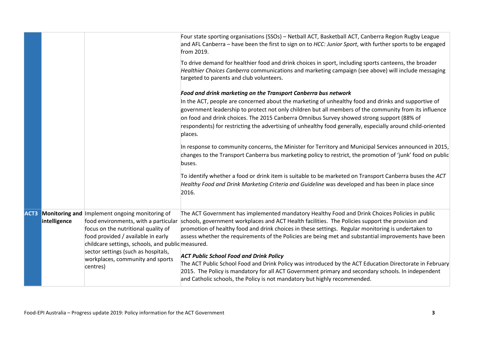|              |                                                                                                                                                                                                                                                                                                                             | Four state sporting organisations (SSOs) - Netball ACT, Basketball ACT, Canberra Region Rugby League<br>and AFL Canberra - have been the first to sign on to HCC: Junior Sport, with further sports to be engaged<br>from 2019.<br>To drive demand for healthier food and drink choices in sport, including sports canteens, the broader<br>Healthier Choices Canberra communications and marketing campaign (see above) will include messaging                                                                                                                                                                                                                                                                                                                  |
|--------------|-----------------------------------------------------------------------------------------------------------------------------------------------------------------------------------------------------------------------------------------------------------------------------------------------------------------------------|------------------------------------------------------------------------------------------------------------------------------------------------------------------------------------------------------------------------------------------------------------------------------------------------------------------------------------------------------------------------------------------------------------------------------------------------------------------------------------------------------------------------------------------------------------------------------------------------------------------------------------------------------------------------------------------------------------------------------------------------------------------|
|              |                                                                                                                                                                                                                                                                                                                             | targeted to parents and club volunteers.<br>Food and drink marketing on the Transport Canberra bus network<br>In the ACT, people are concerned about the marketing of unhealthy food and drinks and supportive of<br>government leadership to protect not only children but all members of the community from its influence<br>on food and drink choices. The 2015 Canberra Omnibus Survey showed strong support (88% of                                                                                                                                                                                                                                                                                                                                         |
|              |                                                                                                                                                                                                                                                                                                                             | respondents) for restricting the advertising of unhealthy food generally, especially around child-oriented<br>places.<br>In response to community concerns, the Minister for Territory and Municipal Services announced in 2015,<br>changes to the Transport Canberra bus marketing policy to restrict, the promotion of 'junk' food on public<br>buses.                                                                                                                                                                                                                                                                                                                                                                                                         |
|              |                                                                                                                                                                                                                                                                                                                             | To identify whether a food or drink item is suitable to be marketed on Transport Canberra buses the ACT<br>Healthy Food and Drink Marketing Criteria and Guideline was developed and has been in place since<br>2016.                                                                                                                                                                                                                                                                                                                                                                                                                                                                                                                                            |
| intelligence | <b>ACT3</b> Monitoring and Implement ongoing monitoring of<br>food environments, with a particular<br>focus on the nutritional quality of<br>food provided / available in early<br>childcare settings, schools, and public measured.<br>sector settings (such as hospitals,<br>workplaces, community and sports<br>centres) | The ACT Government has implemented mandatory Healthy Food and Drink Choices Policies in public<br>schools, government workplaces and ACT Health facilities. The Policies support the provision and<br>promotion of healthy food and drink choices in these settings. Regular monitoring is undertaken to<br>assess whether the requirements of the Policies are being met and substantial improvements have been<br><b>ACT Public School Food and Drink Policy</b><br>The ACT Public School Food and Drink Policy was introduced by the ACT Education Directorate in February<br>2015. The Policy is mandatory for all ACT Government primary and secondary schools. In independent<br>and Catholic schools, the Policy is not mandatory but highly recommended. |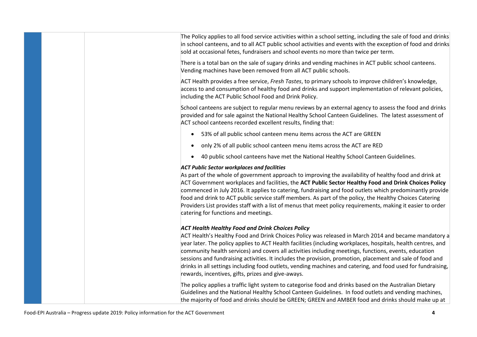The Policy applies to all food service activities within a school setting, including the sale of food and drinks in school canteens, and to all ACT public school activities and events with the exception of food and drinks sold at occasional fetes, fundraisers and school events no more than twice per term.

There is a total ban on the sale of sugary drinks and vending machines in ACT public school canteens. Vending machines have been removed from all ACT public schools.

ACT Health provides a free service, *Fresh Tastes*, to primary schools to improve children's knowledge, access to and consumption of healthy food and drinks and support implementation of relevant policies, including the ACT Public School Food and Drink Policy.

School canteens are subject to regular menu reviews by an external agency to assess the food and drinks provided and for sale against the National Healthy School Canteen Guidelines. The latest assessment of ACT school canteens recorded excellent results, finding that:

- 53% of all public school canteen menu items across the ACT are GREEN
- only 2% of all public school canteen menu items across the ACT are RED
- 40 public school canteens have met the National Healthy School Canteen Guidelines.

#### *ACT Public Sector workplaces and facilities*

As part of the whole of government approach to improving the availability of healthy food and drink at ACT Government workplaces and facilities, the **ACT Public Sector Healthy Food and Drink Choices Policy** commenced in July 2016. It applies to catering, fundraising and food outlets which predominantly provide food and drink to ACT public service staff members. As part of the policy, the Healthy Choices Catering Providers List provides staff with a list of menus that meet policy requirements, making it easier to order catering for functions and meetings.

#### *ACT Health Healthy Food and Drink Choices Policy*

ACT Health's Healthy Food and Drink Choices Policy was released in March 2014 and became mandatory a year later. The policy applies to ACT Health facilities (including workplaces, hospitals, health centres, and community health services) and covers all activities including meetings, functions, events, education sessions and fundraising activities. It includes the provision, promotion, placement and sale of food and drinks in all settings including food outlets, vending machines and catering, and food used for fundraising, rewards, incentives, gifts, prizes and give-aways.

The policy applies a traffic light system to categorise food and drinks based on the Australian Dietary Guidelines and the National Healthy School Canteen Guidelines. In food outlets and vending machines, the majority of food and drinks should be GREEN; GREEN and AMBER food and drinks should make up at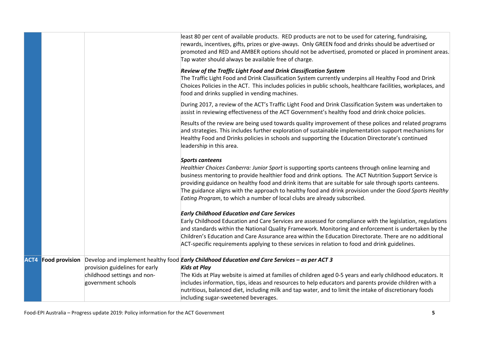|      |                       |                                                   | least 80 per cent of available products. RED products are not to be used for catering, fundraising,<br>rewards, incentives, gifts, prizes or give-aways. Only GREEN food and drinks should be advertised or<br>promoted and RED and AMBER options should not be advertised, promoted or placed in prominent areas.<br>Tap water should always be available free of charge.                                                                                                                                                            |
|------|-----------------------|---------------------------------------------------|---------------------------------------------------------------------------------------------------------------------------------------------------------------------------------------------------------------------------------------------------------------------------------------------------------------------------------------------------------------------------------------------------------------------------------------------------------------------------------------------------------------------------------------|
|      |                       |                                                   | Review of the Traffic Light Food and Drink Classification System<br>The Traffic Light Food and Drink Classification System currently underpins all Healthy Food and Drink<br>Choices Policies in the ACT. This includes policies in public schools, healthcare facilities, workplaces, and<br>food and drinks supplied in vending machines.                                                                                                                                                                                           |
|      |                       |                                                   | During 2017, a review of the ACT's Traffic Light Food and Drink Classification System was undertaken to<br>assist in reviewing effectiveness of the ACT Government's healthy food and drink choice policies.                                                                                                                                                                                                                                                                                                                          |
|      |                       |                                                   | Results of the review are being used towards quality improvement of these polices and related programs<br>and strategies. This includes further exploration of sustainable implementation support mechanisms for<br>Healthy Food and Drinks policies in schools and supporting the Education Directorate's continued<br>leadership in this area.                                                                                                                                                                                      |
|      |                       |                                                   | <b>Sports canteens</b><br>Healthier Choices Canberra: Junior Sport is supporting sports canteens through online learning and<br>business mentoring to provide healthier food and drink options. The ACT Nutrition Support Service is<br>providing guidance on healthy food and drink items that are suitable for sale through sports canteens.<br>The guidance aligns with the approach to healthy food and drink provision under the Good Sports Healthy<br>Eating Program, to which a number of local clubs are already subscribed. |
|      |                       |                                                   | <b>Early Childhood Education and Care Services</b>                                                                                                                                                                                                                                                                                                                                                                                                                                                                                    |
|      |                       |                                                   | Early Childhood Education and Care Services are assessed for compliance with the legislation, regulations<br>and standards within the National Quality Framework. Monitoring and enforcement is undertaken by the<br>Children's Education and Care Assurance area within the Education Directorate. There are no additional<br>ACT-specific requirements applying to these services in relation to food and drink guidelines.                                                                                                         |
| ACT4 | <b>Food provision</b> |                                                   | Develop and implement healthy food <b>Early Childhood Education and Care Services - as per ACT 3</b>                                                                                                                                                                                                                                                                                                                                                                                                                                  |
|      |                       | provision guidelines for early                    | <b>Kids at Play</b>                                                                                                                                                                                                                                                                                                                                                                                                                                                                                                                   |
|      |                       | childhood settings and non-<br>government schools | The Kids at Play website is aimed at families of children aged 0-5 years and early childhood educators. It<br>includes information, tips, ideas and resources to help educators and parents provide children with a<br>nutritious, balanced diet, including milk and tap water, and to limit the intake of discretionary foods<br>including sugar-sweetened beverages.                                                                                                                                                                |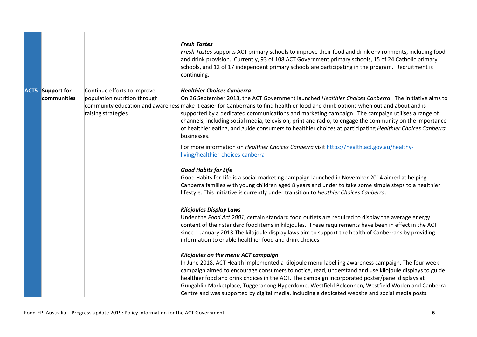|                                        |                                                                                   | <b>Fresh Tastes</b><br>Fresh Tastes supports ACT primary schools to improve their food and drink environments, including food<br>and drink provision. Currently, 93 of 108 ACT Government primary schools, 15 of 24 Catholic primary<br>schools, and 12 of 17 independent primary schools are participating in the program. Recruitment is<br>continuing.                                                                                                                                                                                                                                                                   |
|----------------------------------------|-----------------------------------------------------------------------------------|-----------------------------------------------------------------------------------------------------------------------------------------------------------------------------------------------------------------------------------------------------------------------------------------------------------------------------------------------------------------------------------------------------------------------------------------------------------------------------------------------------------------------------------------------------------------------------------------------------------------------------|
| <b>ACT5</b> Support for<br>communities | Continue efforts to improve<br>population nutrition through<br>raising strategies | <b>Healthier Choices Canberra</b><br>On 26 September 2018, the ACT Government launched Healthier Choices Canberra. The initiative aims to<br>community education and awareness make it easier for Canberrans to find healthier food and drink options when out and about and is<br>supported by a dedicated communications and marketing campaign. The campaign utilises a range of<br>channels, including social media, television, print and radio, to engage the community on the importance<br>of healthier eating, and guide consumers to healthier choices at participating Healthier Choices Canberra<br>businesses. |
|                                        |                                                                                   | For more information on <i>Healthier Choices Canberra</i> visit https://health.act.gov.au/healthy-<br>living/healthier-choices-canberra<br><b>Good Habits for Life</b>                                                                                                                                                                                                                                                                                                                                                                                                                                                      |
|                                        |                                                                                   | Good Habits for Life is a social marketing campaign launched in November 2014 aimed at helping<br>Canberra families with young children aged 8 years and under to take some simple steps to a healthier<br>lifestyle. This initiative is currently under transition to Heathier Choices Canberra.                                                                                                                                                                                                                                                                                                                           |
|                                        |                                                                                   | <b>Kilojoules Display Laws</b><br>Under the Food Act 2001, certain standard food outlets are required to display the average energy                                                                                                                                                                                                                                                                                                                                                                                                                                                                                         |
|                                        |                                                                                   | content of their standard food items in kilojoules. These requirements have been in effect in the ACT<br>since 1 January 2013. The kilojoule display laws aim to support the health of Canberrans by providing<br>information to enable healthier food and drink choices                                                                                                                                                                                                                                                                                                                                                    |
|                                        |                                                                                   | Kilojoules on the menu ACT campaign                                                                                                                                                                                                                                                                                                                                                                                                                                                                                                                                                                                         |
|                                        |                                                                                   | In June 2018, ACT Health implemented a kilojoule menu labelling awareness campaign. The four week<br>campaign aimed to encourage consumers to notice, read, understand and use kilojoule displays to guide                                                                                                                                                                                                                                                                                                                                                                                                                  |
|                                        |                                                                                   | healthier food and drink choices in the ACT. The campaign incorporated poster/panel displays at                                                                                                                                                                                                                                                                                                                                                                                                                                                                                                                             |
|                                        |                                                                                   | Gungahlin Marketplace, Tuggeranong Hyperdome, Westfield Belconnen, Westfield Woden and Canberra<br>Centre and was supported by digital media, including a dedicated website and social media posts.                                                                                                                                                                                                                                                                                                                                                                                                                         |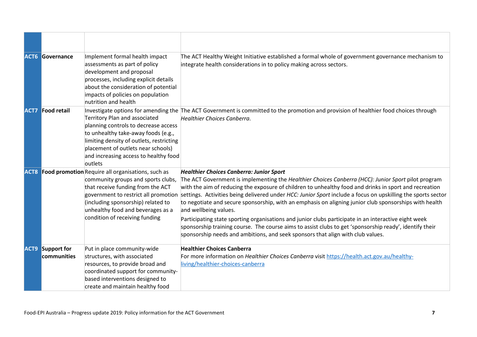|      | <b>ACT6 Governance</b>            | Implement formal health impact<br>assessments as part of policy<br>development and proposal<br>processes, including explicit details<br>about the consideration of potential<br>impacts of policies on population<br>nutrition and health                                         | The ACT Healthy Weight Initiative established a formal whole of government governance mechanism to<br>integrate health considerations in to policy making across sectors.                                                                                                                                                                                                                                                                                                                                                                                                                                                                                                                                                                                                                                                 |
|------|-----------------------------------|-----------------------------------------------------------------------------------------------------------------------------------------------------------------------------------------------------------------------------------------------------------------------------------|---------------------------------------------------------------------------------------------------------------------------------------------------------------------------------------------------------------------------------------------------------------------------------------------------------------------------------------------------------------------------------------------------------------------------------------------------------------------------------------------------------------------------------------------------------------------------------------------------------------------------------------------------------------------------------------------------------------------------------------------------------------------------------------------------------------------------|
| ACT7 | <b>Food retail</b>                | Territory Plan and associated<br>planning controls to decrease access<br>to unhealthy take-away foods (e.g.,<br>limiting density of outlets, restricting<br>placement of outlets near schools)<br>and increasing access to healthy food<br>outlets                                | Investigate options for amending the The ACT Government is committed to the promotion and provision of healthier food choices through<br>Healthier Choices Canberra.                                                                                                                                                                                                                                                                                                                                                                                                                                                                                                                                                                                                                                                      |
| ACT8 |                                   | Food promotion Require all organisations, such as<br>community groups and sports clubs,<br>that receive funding from the ACT<br>government to restrict all promotion<br>(including sponsorship) related to<br>unhealthy food and beverages as a<br>condition of receiving funding | <b>Healthier Choices Canberra: Junior Sport</b><br>The ACT Government is implementing the Healthier Choices Canberra (HCC): Junior Sport pilot program<br>with the aim of reducing the exposure of children to unhealthy food and drinks in sport and recreation<br>settings. Activities being delivered under HCC: Junior Sport include a focus on upskilling the sports sector<br>to negotiate and secure sponsorship, with an emphasis on aligning junior club sponsorships with health<br>and wellbeing values.<br>Participating state sporting organisations and junior clubs participate in an interactive eight week<br>sponsorship training course. The course aims to assist clubs to get 'sponsorship ready', identify their<br>sponsorship needs and ambitions, and seek sponsors that align with club values. |
| ACT9 | <b>Support for</b><br>communities | Put in place community-wide<br>structures, with associated<br>resources, to provide broad and<br>coordinated support for community-<br>based interventions designed to<br>create and maintain healthy food                                                                        | <b>Healthier Choices Canberra</b><br>For more information on Healthier Choices Canberra visit https://health.act.gov.au/healthy-<br>living/healthier-choices-canberra                                                                                                                                                                                                                                                                                                                                                                                                                                                                                                                                                                                                                                                     |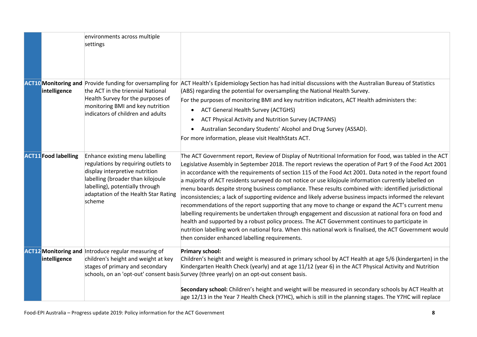|                             | environments across multiple<br>settings                                                                                                                                                                                           |                                                                                                                                                                                                                                                                                                                                                                                                                                                                                                                                                                                                                                                                                                                                                                                                                                                                                                                                                                                                                                                                                                                                           |
|-----------------------------|------------------------------------------------------------------------------------------------------------------------------------------------------------------------------------------------------------------------------------|-------------------------------------------------------------------------------------------------------------------------------------------------------------------------------------------------------------------------------------------------------------------------------------------------------------------------------------------------------------------------------------------------------------------------------------------------------------------------------------------------------------------------------------------------------------------------------------------------------------------------------------------------------------------------------------------------------------------------------------------------------------------------------------------------------------------------------------------------------------------------------------------------------------------------------------------------------------------------------------------------------------------------------------------------------------------------------------------------------------------------------------------|
| intelligence                | <b>ACT10 Monitoring and Provide funding for oversampling for</b><br>the ACT in the triennial National<br>Health Survey for the purposes of<br>monitoring BMI and key nutrition<br>indicators of children and adults                | ACT Health's Epidemiology Section has had initial discussions with the Australian Bureau of Statistics<br>(ABS) regarding the potential for oversampling the National Health Survey.<br>For the purposes of monitoring BMI and key nutrition indicators, ACT Health administers the:<br><b>ACT General Health Survey (ACTGHS)</b><br>$\bullet$<br>ACT Physical Activity and Nutrition Survey (ACTPANS)<br>$\bullet$<br>Australian Secondary Students' Alcohol and Drug Survey (ASSAD).<br>$\bullet$<br>For more information, please visit HealthStats ACT.                                                                                                                                                                                                                                                                                                                                                                                                                                                                                                                                                                                |
| <b>ACT11</b> Food labelling | Enhance existing menu labelling<br>regulations by requiring outlets to<br>display interpretive nutrition<br>labelling (broader than kilojoule<br>labelling), potentially through<br>adaptation of the Health Star Rating<br>scheme | The ACT Government report, Review of Display of Nutritional Information for Food, was tabled in the ACT<br>Legislative Assembly in September 2018. The report reviews the operation of Part 9 of the Food Act 2001<br>in accordance with the requirements of section 115 of the Food Act 2001. Data noted in the report found<br>a majority of ACT residents surveyed do not notice or use kilojoule information currently labelled on<br>menu boards despite strong business compliance. These results combined with: identified jurisdictional<br>inconsistencies; a lack of supporting evidence and likely adverse business impacts informed the relevant<br>recommendations of the report supporting that any move to change or expand the ACT's current menu<br>abelling requirements be undertaken through engagement and discussion at national fora on food and<br>health and supported by a robust policy process. The ACT Government continues to participate in<br>nutrition labelling work on national fora. When this national work is finalised, the ACT Government would<br>then consider enhanced labelling requirements. |
| intelligence                | <b>ACT12 Monitoring and Introduce regular measuring of</b><br>children's height and weight at key<br>stages of primary and secondary                                                                                               | <b>Primary school:</b><br>Children's height and weight is measured in primary school by ACT Health at age 5/6 (kindergarten) in the<br>Kindergarten Health Check (yearly) and at age 11/12 (year 6) in the ACT Physical Activity and Nutrition<br>schools, on an 'opt-out' consent basis Survey (three yearly) on an opt-out consent basis.                                                                                                                                                                                                                                                                                                                                                                                                                                                                                                                                                                                                                                                                                                                                                                                               |
|                             |                                                                                                                                                                                                                                    | Secondary school: Children's height and weight will be measured in secondary schools by ACT Health at<br>age 12/13 in the Year 7 Health Check (Y7HC), which is still in the planning stages. The Y7HC will replace                                                                                                                                                                                                                                                                                                                                                                                                                                                                                                                                                                                                                                                                                                                                                                                                                                                                                                                        |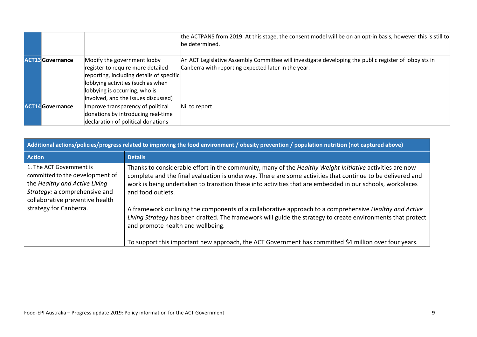|                         |                                                                                                                                                                                                                           | the ACTPANS from 2019. At this stage, the consent model will be on an opt-in basis, however this is still to<br>be determined.                               |
|-------------------------|---------------------------------------------------------------------------------------------------------------------------------------------------------------------------------------------------------------------------|--------------------------------------------------------------------------------------------------------------------------------------------------------------|
| <b>ACT13</b> Governance | Modify the government lobby<br>register to require more detailed<br>reporting, including details of specific<br>lobbying activities (such as when<br>lobbying is occurring, who is<br>involved, and the issues discussed) | An ACT Legislative Assembly Committee will investigate developing the public register of lobbyists in<br>Canberra with reporting expected later in the year. |
| <b>ACT14</b> Governance | Improve transparency of political<br>donations by introducing real-time<br>declaration of political donations                                                                                                             | Nil to report                                                                                                                                                |

| Additional actions/policies/progress related to improving the food environment / obesity prevention / population nutrition (not captured above)                  |                                                                                                                                                                                                                                                                                                                                                                     |  |  |
|------------------------------------------------------------------------------------------------------------------------------------------------------------------|---------------------------------------------------------------------------------------------------------------------------------------------------------------------------------------------------------------------------------------------------------------------------------------------------------------------------------------------------------------------|--|--|
| <b>Action</b>                                                                                                                                                    | <b>Details</b>                                                                                                                                                                                                                                                                                                                                                      |  |  |
| 1. The ACT Government is<br>committed to the development of<br>the Healthy and Active Living<br>Strategy: a comprehensive and<br>collaborative preventive health | Thanks to considerable effort in the community, many of the Healthy Weight Initiative activities are now<br>complete and the final evaluation is underway. There are some activities that continue to be delivered and<br>work is being undertaken to transition these into activities that are embedded in our schools, workplaces<br>and food outlets.            |  |  |
| strategy for Canberra.                                                                                                                                           | A framework outlining the components of a collaborative approach to a comprehensive Healthy and Active<br>Living Strategy has been drafted. The framework will guide the strategy to create environments that protect<br>and promote health and wellbeing.<br>To support this important new approach, the ACT Government has committed \$4 million over four years. |  |  |